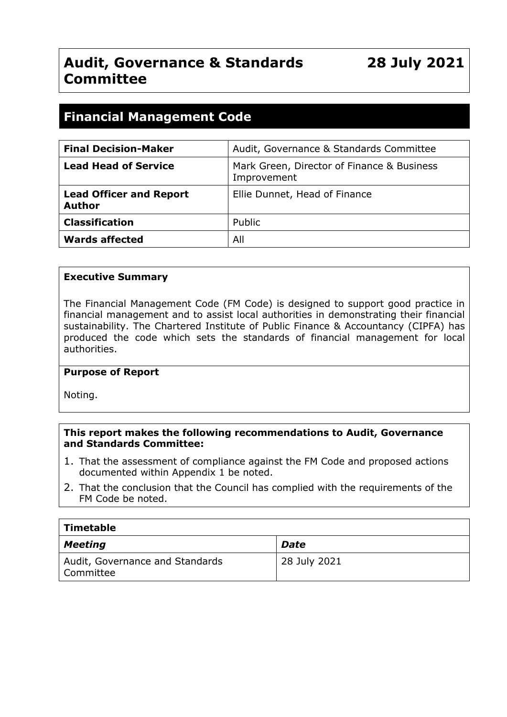# **Audit, Governance & Standards Committee**

**28 July 2021**

# **Financial Management Code**

| <b>Final Decision-Maker</b>                     | Audit, Governance & Standards Committee                   |  |
|-------------------------------------------------|-----------------------------------------------------------|--|
| <b>Lead Head of Service</b>                     | Mark Green, Director of Finance & Business<br>Improvement |  |
| <b>Lead Officer and Report</b><br><b>Author</b> | Ellie Dunnet, Head of Finance                             |  |
| <b>Classification</b>                           | Public                                                    |  |
| <b>Wards affected</b>                           | All                                                       |  |

#### **Executive Summary**

The Financial Management Code (FM Code) is designed to support good practice in financial management and to assist local authorities in demonstrating their financial sustainability. The Chartered Institute of Public Finance & Accountancy (CIPFA) has produced the code which sets the standards of financial management for local authorities.

#### **Purpose of Report**

Noting.

#### **This report makes the following recommendations to Audit, Governance and Standards Committee:**

- 1. That the assessment of compliance against the FM Code and proposed actions documented within Appendix 1 be noted.
- 2. That the conclusion that the Council has complied with the requirements of the FM Code be noted.

| Timetable                                    |              |  |  |  |
|----------------------------------------------|--------------|--|--|--|
| <b>Meeting</b>                               | <b>Date</b>  |  |  |  |
| Audit, Governance and Standards<br>Committee | 28 July 2021 |  |  |  |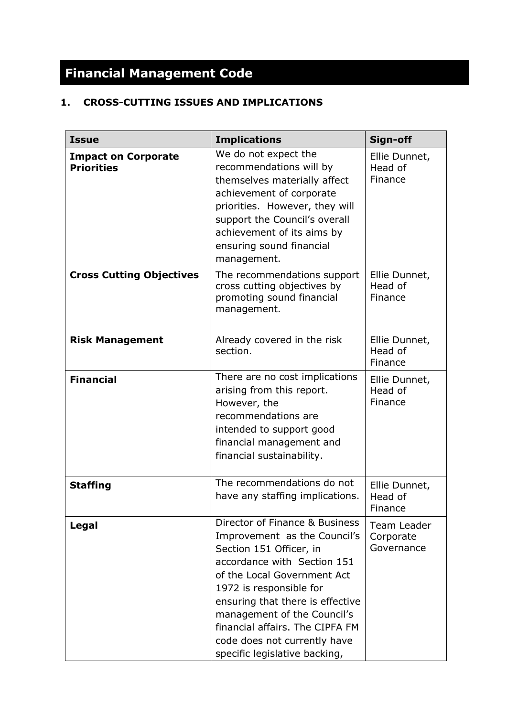# **Financial Management Code**

# **1. CROSS-CUTTING ISSUES AND IMPLICATIONS**

| <b>Issue</b>                                    | <b>Implications</b>                                                                                                                                                                                                                                                                                                                                       |                                        |
|-------------------------------------------------|-----------------------------------------------------------------------------------------------------------------------------------------------------------------------------------------------------------------------------------------------------------------------------------------------------------------------------------------------------------|----------------------------------------|
| <b>Impact on Corporate</b><br><b>Priorities</b> | We do not expect the<br>recommendations will by<br>themselves materially affect<br>achievement of corporate<br>priorities. However, they will<br>support the Council's overall<br>achievement of its aims by<br>ensuring sound financial<br>management.                                                                                                   | Ellie Dunnet,<br>Head of<br>Finance    |
| <b>Cross Cutting Objectives</b>                 | The recommendations support<br>cross cutting objectives by<br>promoting sound financial<br>management.                                                                                                                                                                                                                                                    | Ellie Dunnet,<br>Head of<br>Finance    |
| <b>Risk Management</b>                          | Already covered in the risk<br>section.                                                                                                                                                                                                                                                                                                                   | Ellie Dunnet,<br>Head of<br>Finance    |
| <b>Financial</b>                                | There are no cost implications<br>arising from this report.<br>However, the<br>recommendations are<br>intended to support good<br>financial management and<br>financial sustainability.                                                                                                                                                                   | Ellie Dunnet,<br>Head of<br>Finance    |
| <b>Staffing</b>                                 | The recommendations do not<br>have any staffing implications.                                                                                                                                                                                                                                                                                             | Ellie Dunnet,<br>Head of<br>Finance    |
| <b>Legal</b>                                    | Director of Finance & Business<br>Improvement as the Council's<br>Section 151 Officer, in<br>accordance with Section 151<br>of the Local Government Act<br>1972 is responsible for<br>ensuring that there is effective<br>management of the Council's<br>financial affairs. The CIPFA FM<br>code does not currently have<br>specific legislative backing, | Team Leader<br>Corporate<br>Governance |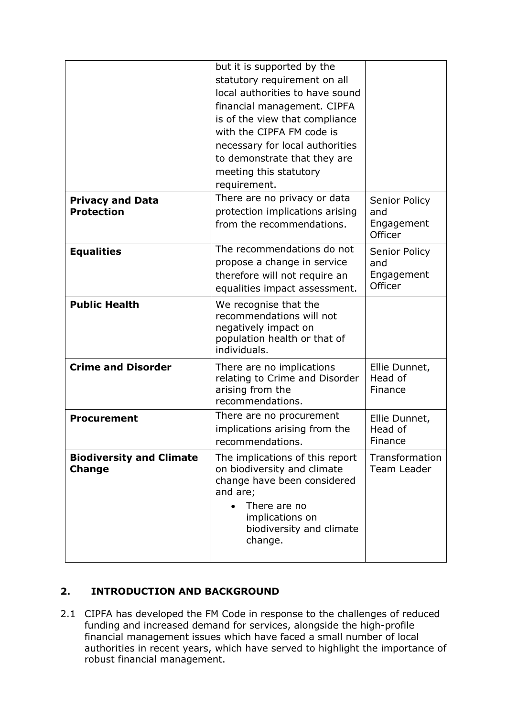|                                                  | but it is supported by the<br>statutory requirement on all<br>local authorities to have sound<br>financial management. CIPFA<br>is of the view that compliance<br>with the CIPFA FM code is<br>necessary for local authorities<br>to demonstrate that they are<br>meeting this statutory<br>requirement. |                                               |
|--------------------------------------------------|----------------------------------------------------------------------------------------------------------------------------------------------------------------------------------------------------------------------------------------------------------------------------------------------------------|-----------------------------------------------|
| <b>Privacy and Data</b><br><b>Protection</b>     | There are no privacy or data<br>protection implications arising<br>from the recommendations.                                                                                                                                                                                                             | Senior Policy<br>and<br>Engagement<br>Officer |
| <b>Equalities</b>                                | The recommendations do not<br>propose a change in service<br>therefore will not require an<br>equalities impact assessment.                                                                                                                                                                              | Senior Policy<br>and<br>Engagement<br>Officer |
| <b>Public Health</b>                             | We recognise that the<br>recommendations will not<br>negatively impact on<br>population health or that of<br>individuals.                                                                                                                                                                                |                                               |
| <b>Crime and Disorder</b>                        | There are no implications<br>relating to Crime and Disorder<br>arising from the<br>recommendations.                                                                                                                                                                                                      | Ellie Dunnet,<br>Head of<br>Finance           |
| <b>Procurement</b>                               | There are no procurement<br>implications arising from the<br>recommendations.                                                                                                                                                                                                                            | Ellie Dunnet,<br>Head of<br>Finance           |
| <b>Biodiversity and Climate</b><br><b>Change</b> | The implications of this report<br>on biodiversity and climate<br>change have been considered<br>and are;<br>There are no<br>implications on<br>biodiversity and climate<br>change.                                                                                                                      | Transformation<br>Team Leader                 |

# **2. INTRODUCTION AND BACKGROUND**

2.1 CIPFA has developed the FM Code in response to the challenges of reduced funding and increased demand for services, alongside the high-profile financial management issues which have faced a small number of local authorities in recent years, which have served to highlight the importance of robust financial management.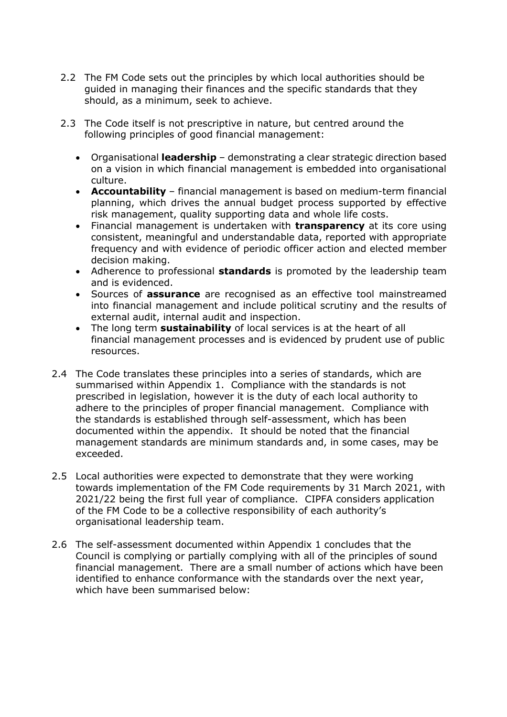- 2.2 The FM Code sets out the principles by which local authorities should be guided in managing their finances and the specific standards that they should, as a minimum, seek to achieve.
- 2.3 The Code itself is not prescriptive in nature, but centred around the following principles of good financial management:
	- Organisational **leadership** demonstrating a clear strategic direction based on a vision in which financial management is embedded into organisational culture.
	- **Accountability** financial management is based on medium-term financial planning, which drives the annual budget process supported by effective risk management, quality supporting data and whole life costs.
	- Financial management is undertaken with **transparency** at its core using consistent, meaningful and understandable data, reported with appropriate frequency and with evidence of periodic officer action and elected member decision making.
	- Adherence to professional **standards** is promoted by the leadership team and is evidenced.
	- Sources of **assurance** are recognised as an effective tool mainstreamed into financial management and include political scrutiny and the results of external audit, internal audit and inspection.
	- The long term **sustainability** of local services is at the heart of all financial management processes and is evidenced by prudent use of public resources.
- 2.4 The Code translates these principles into a series of standards, which are summarised within Appendix 1. Compliance with the standards is not prescribed in legislation, however it is the duty of each local authority to adhere to the principles of proper financial management. Compliance with the standards is established through self-assessment, which has been documented within the appendix. It should be noted that the financial management standards are minimum standards and, in some cases, may be exceeded.
- 2.5 Local authorities were expected to demonstrate that they were working towards implementation of the FM Code requirements by 31 March 2021, with 2021/22 being the first full year of compliance. CIPFA considers application of the FM Code to be a collective responsibility of each authority's organisational leadership team.
- 2.6 The self-assessment documented within Appendix 1 concludes that the Council is complying or partially complying with all of the principles of sound financial management. There are a small number of actions which have been identified to enhance conformance with the standards over the next year, which have been summarised below: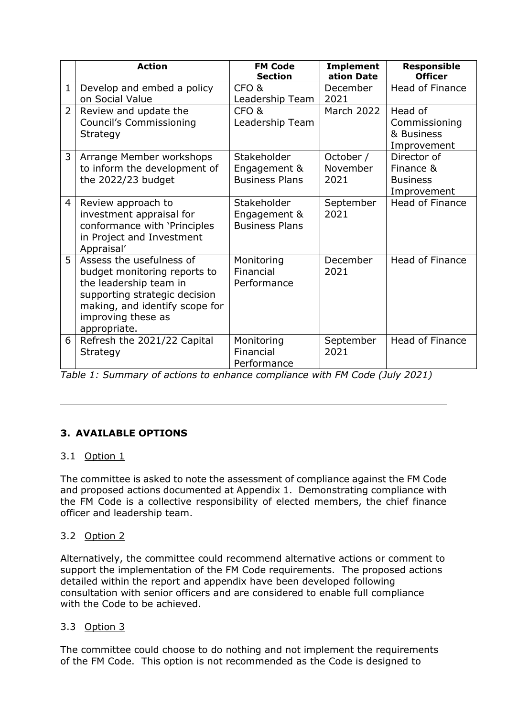|                | <b>Action</b>                                                                                                                                                                               | <b>FM Code</b><br><b>Section</b>                     | <b>Implement</b><br>ation Date | <b>Responsible</b><br><b>Officer</b>                       |
|----------------|---------------------------------------------------------------------------------------------------------------------------------------------------------------------------------------------|------------------------------------------------------|--------------------------------|------------------------------------------------------------|
| 1              | Develop and embed a policy<br>on Social Value                                                                                                                                               | CFO <sub>&amp;</sub><br>Leadership Team              | December<br>2021               | Head of Finance                                            |
| $\overline{2}$ | Review and update the<br><b>Council's Commissioning</b><br>Strategy                                                                                                                         | CFO <sub>&amp;</sub><br>Leadership Team              | <b>March 2022</b>              | Head of<br>Commissioning<br>& Business<br>Improvement      |
| 3 <sup>1</sup> | Arrange Member workshops<br>to inform the development of<br>the 2022/23 budget                                                                                                              | Stakeholder<br>Engagement &<br><b>Business Plans</b> | October /<br>November<br>2021  | Director of<br>Finance &<br><b>Business</b><br>Improvement |
| 4              | Review approach to<br>investment appraisal for<br>conformance with 'Principles<br>in Project and Investment<br>Appraisal'                                                                   | Stakeholder<br>Engagement &<br><b>Business Plans</b> | September<br>2021              | <b>Head of Finance</b>                                     |
| 5              | Assess the usefulness of<br>budget monitoring reports to<br>the leadership team in<br>supporting strategic decision<br>making, and identify scope for<br>improving these as<br>appropriate. | Monitoring<br>Financial<br>Performance               | December<br>2021               | Head of Finance                                            |
| 6              | Refresh the 2021/22 Capital<br>Strategy                                                                                                                                                     | Monitoring<br>Financial<br>Performance               | September<br>2021              | <b>Head of Finance</b>                                     |

*Table 1: Summary of actions to enhance compliance with FM Code (July 2021)*

# **3. AVAILABLE OPTIONS**

# 3.1 Option 1

The committee is asked to note the assessment of compliance against the FM Code and proposed actions documented at Appendix 1. Demonstrating compliance with the FM Code is a collective responsibility of elected members, the chief finance officer and leadership team.

# 3.2 Option 2

Alternatively, the committee could recommend alternative actions or comment to support the implementation of the FM Code requirements. The proposed actions detailed within the report and appendix have been developed following consultation with senior officers and are considered to enable full compliance with the Code to be achieved.

# 3.3 Option 3

The committee could choose to do nothing and not implement the requirements of the FM Code. This option is not recommended as the Code is designed to